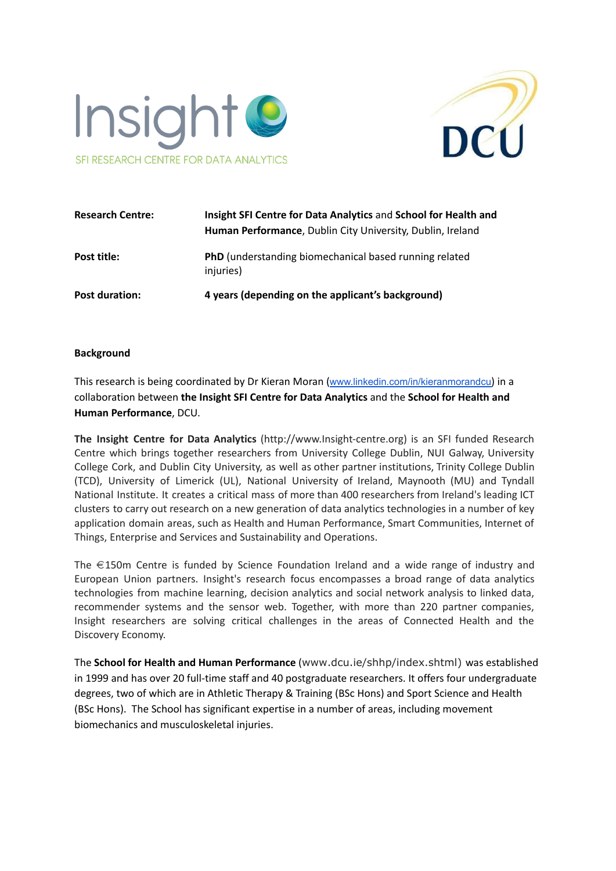



| <b>Research Centre:</b> | Insight SFI Centre for Data Analytics and School for Health and<br>Human Performance, Dublin City University, Dublin, Ireland |
|-------------------------|-------------------------------------------------------------------------------------------------------------------------------|
| Post title:             | <b>PhD</b> (understanding biomechanical based running related<br>injuries)                                                    |
| <b>Post duration:</b>   | 4 years (depending on the applicant's background)                                                                             |

### **Background**

This research is being coordinated by Dr Kieran Moran ([www.linkedin.com/in/kieranmorandcu](http://www.linkedin.com/in/kieranmorandcu)) in a collaboration between **the Insight SFI Centre for Data Analytics** and the **School for Health and Human Performance**, DCU.

**The Insight Centre for Data Analytics** (http://www.Insight-centre.org) is an SFI funded Research Centre which brings together researchers from University College Dublin, NUI Galway, University College Cork, and Dublin City University, as well as other partner institutions, Trinity College Dublin (TCD), University of Limerick (UL), National University of Ireland, Maynooth (MU) and Tyndall National Institute. It creates a critical mass of more than 400 researchers from Ireland's leading ICT clusters to carry out research on a new generation of data analytics technologies in a number of key application domain areas, such as Health and Human Performance, Smart Communities, Internet of Things, Enterprise and Services and Sustainability and Operations.

The €150m Centre is funded by Science Foundation Ireland and a wide range of industry and European Union partners. Insight's research focus encompasses a broad range of data analytics technologies from machine learning, decision analytics and social network analysis to linked data, recommender systems and the sensor web. Together, with more than 220 partner companies, Insight researchers are solving critical challenges in the areas of Connected Health and the Discovery Economy.

The **School for Health and Human Performance** (www.dcu.ie/shhp/index.shtml) was established in 1999 and has over 20 full-time staff and 40 postgraduate researchers. It offers four undergraduate degrees, two of which are in Athletic Therapy & Training (BSc Hons) and Sport Science and Health (BSc Hons). The School has significant expertise in a number of areas, including movement biomechanics and musculoskeletal injuries.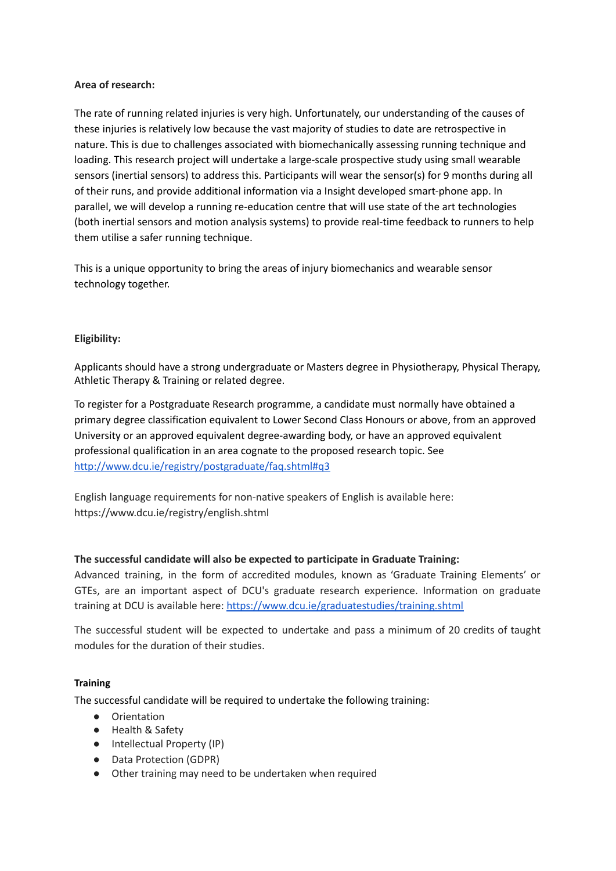## **Area of research:**

The rate of running related injuries is very high. Unfortunately, our understanding of the causes of these injuries is relatively low because the vast majority of studies to date are retrospective in nature. This is due to challenges associated with biomechanically assessing running technique and loading. This research project will undertake a large-scale prospective study using small wearable sensors (inertial sensors) to address this. Participants will wear the sensor(s) for 9 months during all of their runs, and provide additional information via a Insight developed smart-phone app. In parallel, we will develop a running re-education centre that will use state of the art technologies (both inertial sensors and motion analysis systems) to provide real-time feedback to runners to help them utilise a safer running technique.

This is a unique opportunity to bring the areas of injury biomechanics and wearable sensor technology together.

# **Eligibility:**

Applicants should have a strong undergraduate or Masters degree in Physiotherapy, Physical Therapy, Athletic Therapy & Training or related degree.

To register for a Postgraduate Research programme, a candidate must normally have obtained a primary degree classification equivalent to Lower Second Class Honours or above, from an approved University or an approved equivalent degree-awarding body, or have an approved equivalent professional qualification in an area cognate to the proposed research topic. See <http://www.dcu.ie/registry/postgraduate/faq.shtml#q3>

English language requirements for non-native speakers of English is available here: <https://www.dcu.ie/registry/english.shtml>

### **The successful candidate will also be expected to participate in Graduate Training:**

Advanced training, in the form of accredited modules, known as 'Graduate Training Elements' or GTEs, are an important aspect of DCU's graduate research experience. Information on graduate training at DCU is available here: <https://www.dcu.ie/graduatestudies/training.shtml>

The successful student will be expected to undertake and pass a minimum of 20 credits of taught modules for the duration of their studies.

### **Training**

The successful candidate will be required to undertake the following training:

- Orientation
- Health & Safety
- Intellectual Property (IP)
- Data Protection (GDPR)
- Other training may need to be undertaken when required